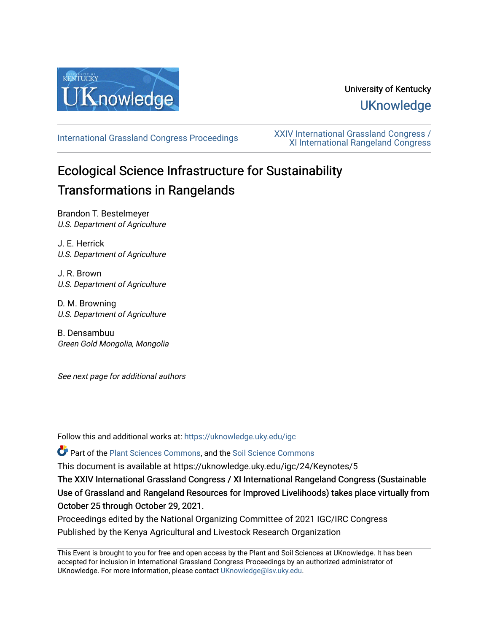

# University of Kentucky **UKnowledge**

[International Grassland Congress Proceedings](https://uknowledge.uky.edu/igc) [XXIV International Grassland Congress /](https://uknowledge.uky.edu/igc/24)  [XI International Rangeland Congress](https://uknowledge.uky.edu/igc/24) 

# Ecological Science Infrastructure for Sustainability Transformations in Rangelands

Brandon T. Bestelmeyer U.S. Department of Agriculture

J. E. Herrick U.S. Department of Agriculture

J. R. Brown U.S. Department of Agriculture

D. M. Browning U.S. Department of Agriculture

B. Densambuu Green Gold Mongolia, Mongolia

See next page for additional authors

Follow this and additional works at: [https://uknowledge.uky.edu/igc](https://uknowledge.uky.edu/igc?utm_source=uknowledge.uky.edu%2Figc%2F24%2FKeynotes%2F5&utm_medium=PDF&utm_campaign=PDFCoverPages) 

Part of the [Plant Sciences Commons](http://network.bepress.com/hgg/discipline/102?utm_source=uknowledge.uky.edu%2Figc%2F24%2FKeynotes%2F5&utm_medium=PDF&utm_campaign=PDFCoverPages), and the [Soil Science Commons](http://network.bepress.com/hgg/discipline/163?utm_source=uknowledge.uky.edu%2Figc%2F24%2FKeynotes%2F5&utm_medium=PDF&utm_campaign=PDFCoverPages) 

This document is available at https://uknowledge.uky.edu/igc/24/Keynotes/5

The XXIV International Grassland Congress / XI International Rangeland Congress (Sustainable Use of Grassland and Rangeland Resources for Improved Livelihoods) takes place virtually from October 25 through October 29, 2021.

Proceedings edited by the National Organizing Committee of 2021 IGC/IRC Congress Published by the Kenya Agricultural and Livestock Research Organization

This Event is brought to you for free and open access by the Plant and Soil Sciences at UKnowledge. It has been accepted for inclusion in International Grassland Congress Proceedings by an authorized administrator of UKnowledge. For more information, please contact [UKnowledge@lsv.uky.edu](mailto:UKnowledge@lsv.uky.edu).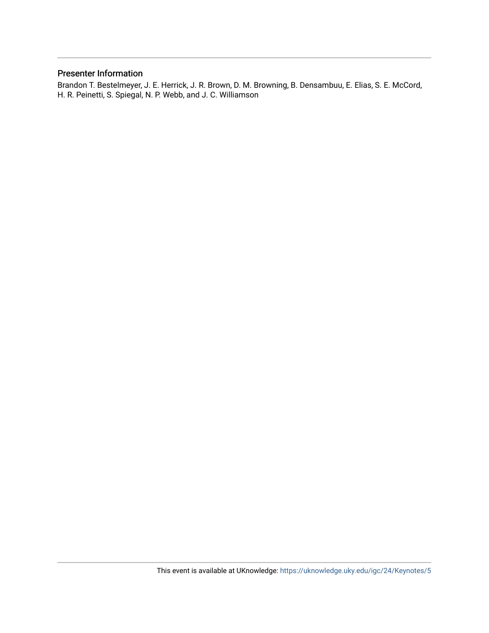# Presenter Information

Brandon T. Bestelmeyer, J. E. Herrick, J. R. Brown, D. M. Browning, B. Densambuu, E. Elias, S. E. McCord, H. R. Peinetti, S. Spiegal, N. P. Webb, and J. C. Williamson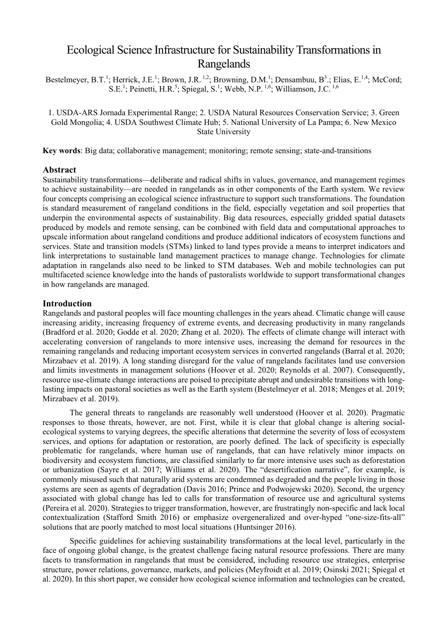# Ecological Science Infrastructure for Sustainability Transformations in Rangelands

Bestelmeyer, B.T.<sup>1</sup>; Herrick, J.E.<sup>1</sup>; Brown, J.R.<sup>1,2</sup>; Browning, D.M.<sup>1</sup>; Densambuu, B<sup>3</sup>.; Elias, E.<sup>1,4</sup>; McCord; S.E.<sup>1</sup>; Peinetti, H.R.<sup>5</sup>; Spiegal, S.<sup>1</sup>; Webb, N.P.<sup>1,6</sup>; Williamson, J.C.<sup>1,6</sup>

1. USDA-ARS Jornada Experimental Range; 2. USDA Natural Resources Conservation Service; 3. Green Gold Mongolia; 4. USDA Southwest Climate Hub; 5. National University of La Pampa; 6. New Mexico State University

**Key words**: Big data; collaborative management; monitoring; remote sensing; state-and-transitions

## **Abstract**

Sustainability transformations—deliberate and radical shifts in values, governance, and management regimes to achieve sustainability—are needed in rangelands as in other components of the Earth system. We review four concepts comprising an ecological science infrastructure to support such transformations. The foundation is standard measurement of rangeland conditions in the field, especially vegetation and soil properties that underpin the environmental aspects of sustainability. Big data resources, especially gridded spatial datasets produced by models and remote sensing, can be combined with field data and computational approaches to upscale information about rangeland conditions and produce additional indicators of ecosystem functions and services. State and transition models (STMs) linked to land types provide a means to interpret indicators and link interpretations to sustainable land management practices to manage change. Technologies for climate adaptation in rangelands also need to be linked to STM databases. Web and mobile technologies can put multifaceted science knowledge into the hands of pastoralists worldwide to support transformational changes in how rangelands are managed.

## **Introduction**

Rangelands and pastoral peoples will face mounting challenges in the years ahead. Climatic change will cause increasing aridity, increasing frequency of extreme events, and decreasing productivity in many rangelands [\(Bradford et al. 2020;](#page-5-0) [Godde et al. 2020;](#page-6-0) [Zhang et al. 2020\)](#page-7-0). The effects of climate change will interact with accelerating conversion of rangelands to more intensive uses, increasing the demand for resources in the remaining rangelands and reducing important ecosystem services in converted rangelands [\(Barral et al. 2020;](#page-5-1) [Mirzabaev et al. 2019\)](#page-6-1). A long standing disregard for the value of rangelands facilitates land use conversion and limits investments in management solutions [\(Hoover et al. 2020;](#page-6-2) [Reynolds et al. 2007\)](#page-7-1). Consequently, resource use-climate change interactions are poised to precipitate abrupt and undesirable transitions with longlasting impacts on pastoral societies as well as the Earth system [\(Bestelmeyer et al. 2018;](#page-5-2) [Menges et al. 2019;](#page-6-3) [Mirzabaev et al. 2019\)](#page-6-1).

The general threats to rangelands are reasonably well understood [\(Hoover et al. 2020\)](#page-6-2). Pragmatic responses to those threats, however, are not. First, while it is clear that global change is altering socialecological systems to varying degrees, the specific alterations that determine the severity of loss of ecosystem services, and options for adaptation or restoration, are poorly defined. The lack of specificity is especially problematic for rangelands, where human use of rangelands, that can have relatively minor impacts on biodiversity and ecosystem functions, are classified similarly to far more intensive uses such as deforestation or urbanization [\(Sayre et al. 2017;](#page-7-2) [Williams et al. 2020\)](#page-7-3). The "desertification narrative", for example, is commonly misused such that naturally arid systems are condemned as degraded and the people living in those systems are seen as agents of degradation [\(Davis 2016;](#page-5-3) [Prince and Podwojewski 2020\)](#page-7-4). Second, the urgency associated with global change has led to calls for transformation of resource use and agricultural systems [\(Pereira et al. 2020\)](#page-6-4). Strategies to trigger transformation, however, are frustratingly non-specific and lack local contextualization [\(Stafford Smith 2016\)](#page-7-5) or emphasize overgeneralized and over-hyped "one-size-fits-all" solutions that are poorly matched to most local situations [\(Huntsinger 2016\)](#page-6-5).

Specific guidelines for achieving sustainability transformations at the local level, particularly in the face of ongoing global change, is the greatest challenge facing natural resource professions. There are many facets to transformation in rangelands that must be considered, including resource use strategies, enterprise structure, power relations, governance, markets, and policies [\(Meyfroidt et al. 2019;](#page-6-6) [Osinski 2021;](#page-6-7) [Spiegal et](#page-7-6)  [al. 2020\)](#page-7-6). In this short paper, we consider how ecological science information and technologies can be created,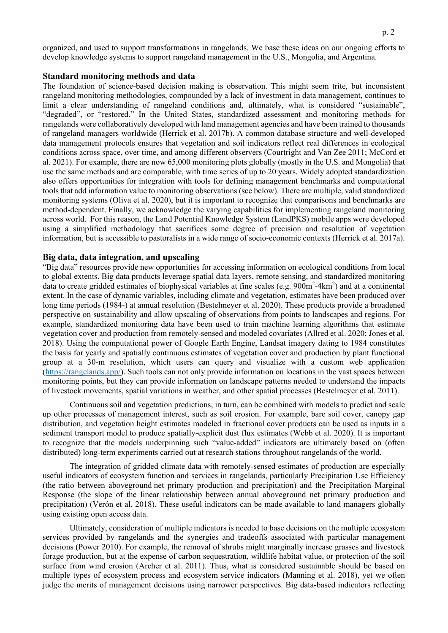organized, and used to support transformations in rangelands. We base these ideas on our ongoing efforts to develop knowledge systems to support rangeland management in the U.S., Mongolia, and Argentina.

#### **Standard monitoring methods and data**

The foundation of science-based decision making is observation. This might seem trite, but inconsistent rangeland monitoring methodologies, compounded by a lack of investment in data management, continues to limit a clear understanding of rangeland conditions and, ultimately, what is considered "sustainable", "degraded", or "restored." In the United States, standardized assessment and monitoring methods for rangelands were collaboratively developed with land management agencies and have been trained to thousands of rangeland managers worldwide [\(Herrick et al. 2017b\)](#page-6-8). A common database structure and well-developed data management protocols ensures that vegetation and soil indicators reflect real differences in ecological conditions across space, over time, and among different observers [\(Courtright and Van Zee 2011;](#page-5-4) [McCord et](#page-6-9)  [al. 2021\)](#page-6-9). For example, there are now 65,000 monitoring plots globally (mostly in the U.S. and Mongolia) that use the same methods and are comparable, with time series of up to 20 years. Widely adopted standardization also offers opportunities for integration with tools for defining management benchmarks and computational tools that add information value to monitoring observations (see below). There are multiple, valid standardized monitoring systems [\(Oliva et al. 2020\)](#page-6-10), but it is important to recognize that comparisons and benchmarks are method-dependent. Finally, we acknowledge the varying capabilities for implementing rangeland monitoring across world. For this reason, the Land Potential Knowledge System (LandPKS) mobile apps were developed using a simplified methodology that sacrifices some degree of precision and resolution of vegetation information, but is accessible to pastoralists in a wide range of socio-economic contexts [\(Herrick et al. 2017a\)](#page-6-11).

#### **Big data, data integration, and upscaling**

"Big data" resources provide new opportunities for accessing information on ecological conditions from local to global extents. Big data products leverage spatial data layers, remote sensing, and standardized monitoring data to create gridded estimates of biophysical variables at fine scales (e.g.  $900m^2-4km^2$ ) and at a continental extent. In the case of dynamic variables, including climate and vegetation, estimates have been produced over long time periods (1984-) at annual resolution [\(Bestelmeyer et al. 2020\)](#page-5-5). These products provide a broadened perspective on sustainability and allow upscaling of observations from points to landscapes and regions. For example, standardized monitoring data have been used to train machine learning algorithms that estimate vegetation cover and production from remotely-sensed and modeled covariates [\(Allred et al. 2020;](#page-5-6) [Jones et al.](#page-6-12)  [2018\)](#page-6-12). Using the computational power of Google Earth Engine, Landsat imagery dating to 1984 constitutes the basis for yearly and spatially continuous estimates of vegetation cover and production by plant functional group at a 30-m resolution, which users can query and visualize with a custom web application [\(https://rangelands.app/\)](https://rangelands.app/). Such tools can not only provide information on locations in the vast spaces between monitoring points, but they can provide information on landscape patterns needed to understand the impacts of livestock movements, spatial variations in weather, and other spatial processes [\(Bestelmeyer et al. 2011\)](#page-5-7).

Continuous soil and vegetation predictions, in turn, can be combined with models to predict and scale up other processes of management interest, such as soil erosion. For example, bare soil cover, canopy gap distribution, and vegetation height estimates modeled in fractional cover products can be used as inputs in a sediment transport model to produce spatially-explicit dust flux estimates [\(Webb et al. 2020\)](#page-7-7). It is important to recognize that the models underpinning such "value-added" indicators are ultimately based on (often distributed) long-term experiments carried out at research stations throughout rangelands of the world.

The integration of gridded climate data with remotely-sensed estimates of production are especially useful indicators of ecosystem function and services in rangelands, particularly Precipitation Use Efficiency (the ratio between aboveground [net primary production](https://www.sciencedirect.com/topics/earth-and-planetary-sciences/net-primary-production) and precipitation) and the Precipitation Marginal Response (the slope of the linear relationship between annual aboveground net primary production and precipitation) [\(Verón et al. 2018\)](#page-7-8). These useful indicators can be made available to land managers globally using existing open access data.

Ultimately, consideration of multiple indicators is needed to base decisions on the multiple ecosystem services provided by rangelands and the synergies and tradeoffs associated with particular management decisions [\(Power 2010\)](#page-7-9). For example, the removal of shrubs might marginally increase grasses and livestock forage production, but at the expense of carbon sequestration, wildlife habitat value, or protection of the soil surface from wind erosion [\(Archer et al. 2011\)](#page-5-8). Thus, what is considered sustainable should be based on multiple types of ecosystem process and ecosystem service indicators [\(Manning et al. 2018\)](#page-6-13), yet we often judge the merits of management decisions using narrower perspectives. Big data-based indicators reflecting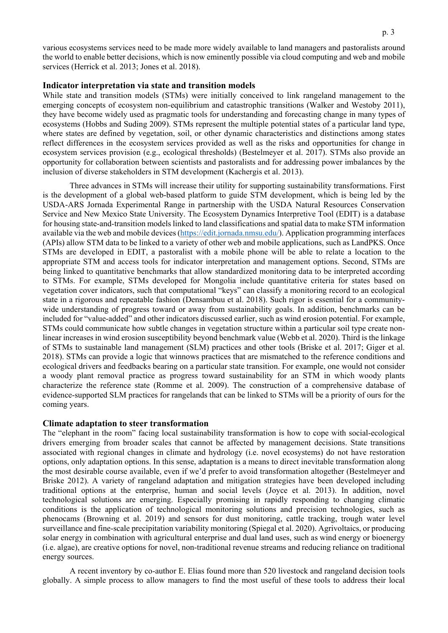various ecosystems services need to be made more widely available to land managers and pastoralists around the world to enable better decisions, which is now eminently possible via cloud computing and web and mobile services [\(Herrick et al. 2013;](#page-6-14) [Jones et al. 2018\)](#page-6-12).

#### **Indicator interpretation via state and transition models**

While state and transition models (STMs) were initially conceived to link rangeland management to the emerging concepts of ecosystem non-equilibrium and catastrophic transitions [\(Walker and Westoby 2011\)](#page-7-10), they have become widely used as pragmatic tools for understanding and forecasting change in many types of ecosystems [\(Hobbs and Suding 2009\)](#page-6-15). STMs represent the multiple potential states of a particular land type, where states are defined by vegetation, soil, or other dynamic characteristics and distinctions among states reflect differences in the ecosystem services provided as well as the risks and opportunities for change in ecosystem services provision (e.g., ecological thresholds) [\(Bestelmeyer et al. 2017\)](#page-5-9). STMs also provide an opportunity for collaboration between scientists and pastoralists and for addressing power imbalances by the inclusion of diverse stakeholders in STM development [\(Kachergis et al. 2013\)](#page-6-16).

Three advances in STMs will increase their utility for supporting sustainability transformations. First is the development of a global web-based platform to guide STM development, which is being led by the USDA-ARS Jornada Experimental Range in partnership with the USDA Natural Resources Conservation Service and New Mexico State University. The Ecosystem Dynamics Interpretive Tool (EDIT) is a database for housing state-and-transition models linked to land classifications and spatial data to make STM information available via the web and mobile devices[\(https://edit.jornada.nmsu.edu/\)](https://edit.jornada.nmsu.edu/). Application programming interfaces (APIs) allow STM data to be linked to a variety of other web and mobile applications, such as LandPKS. Once STMs are developed in EDIT, a pastoralist with a mobile phone will be able to relate a location to the appropriate STM and access tools for indicator interpretation and management options. Second, STMs are being linked to quantitative benchmarks that allow standardized monitoring data to be interpreted according to STMs. For example, STMs developed for Mongolia include quantitative criteria for states based on vegetation cover indicators, such that computational "keys" can classify a monitoring record to an ecological state in a rigorous and repeatable fashion [\(Densambuu et al. 2018\)](#page-6-17). Such rigor is essential for a communitywide understanding of progress toward or away from sustainability goals. In addition, benchmarks can be included for "value-added" and other indicators discussed earlier, such as wind erosion potential. For example, STMs could communicate how subtle changes in vegetation structure within a particular soil type create nonlinear increases in wind erosion susceptibility beyond benchmark value [\(Webb et al. 2020\)](#page-7-7). Third is the linkage of STMs to sustainable land management (SLM) practices and other tools [\(Briske et al. 2017;](#page-5-10) [Giger et al.](#page-6-18)  [2018\)](#page-6-18). STMs can provide a logic that winnows practices that are mismatched to the reference conditions and ecological drivers and feedbacks bearing on a particular state transition. For example, one would not consider a woody plant removal practice as progress toward sustainability for an STM in which woody plants characterize the reference state [\(Romme et al. 2009\)](#page-7-11). The construction of a comprehensive database of evidence-supported SLM practices for rangelands that can be linked to STMs will be a priority of ours for the coming years.

#### **Climate adaptation to steer transformation**

The "elephant in the room" facing local sustainability transformation is how to cope with social-ecological drivers emerging from broader scales that cannot be affected by management decisions. State transitions associated with regional changes in climate and hydrology (i.e. novel ecosystems) do not have restoration options, only adaptation options. In this sense, adaptation is a means to direct inevitable transformation along the most desirable course available, even if we'd prefer to avoid transformation altogether [\(Bestelmeyer and](#page-5-11)  [Briske 2012\)](#page-5-11). A variety of rangeland adaptation and mitigation strategies have been developed including traditional options at the enterprise, human and social levels [\(Joyce et al. 2013\)](#page-6-19). In addition, novel technological solutions are emerging. Especially promising in rapidly responding to changing climatic conditions is the application of technological monitoring solutions and precision technologies, such as phenocams [\(Browning et al. 2019\)](#page-5-12) and sensors for dust monitoring, cattle tracking, trough water level surveillance and fine-scale precipitation variability monitoring [\(Spiegal et al. 2020\)](#page-7-6). Agrivoltaics, or producing solar energy in combination with agricultural enterprise and dual land uses, such as wind energy or bioenergy (i.e. algae), are creative options for novel, non-traditional revenue streams and reducing reliance on traditional energy sources.

A recent inventory by co-author E. Elias found more than 520 livestock and rangeland decision tools globally. A simple process to allow managers to find the most useful of these tools to address their local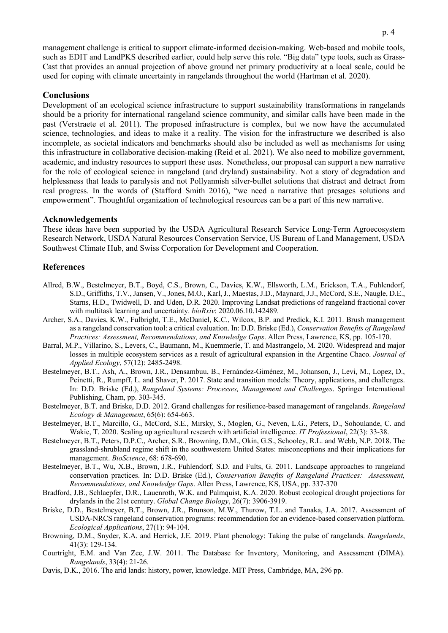management challenge is critical to support climate-informed decision-making. Web-based and mobile tools, such as EDIT and LandPKS described earlier, could help serve this role. "Big data" type tools, such as Grass-Cast that provides an annual projection of above ground net primary productivity at a local scale, could be used for coping with climate uncertainty in rangelands throughout the world [\(Hartman et al. 2020\)](#page-6-20).

## **Conclusions**

Development of an ecological science infrastructure to support sustainability transformations in rangelands should be a priority for international rangeland science community, and similar calls have been made in the past [\(Verstraete et al. 2011\)](#page-7-12). The proposed infrastructure is complex, but we now have the accumulated science, technologies, and ideas to make it a reality. The vision for the infrastructure we described is also incomplete, as societal indicators and benchmarks should also be included as well as mechanisms for using this infrastructure in collaborative decision-making [\(Reid et al. 2021\)](#page-7-13). We also need to mobilize government, academic, and industry resources to support these uses. Nonetheless, our proposal can support a new narrative for the role of ecological science in rangeland (and dryland) sustainability. Not a story of degradation and helplessness that leads to paralysis and not Pollyannish silver-bullet solutions that distract and detract from real progress. In the words of [\(Stafford Smith 2016\)](#page-7-5), "we need a narrative that presages solutions and empowerment". Thoughtful organization of technological resources can be a part of this new narrative.

#### **Acknowledgements**

These ideas have been supported by the USDA Agricultural Research Service Long-Term Agroecosystem Research Network, USDA Natural Resources Conservation Service, US Bureau of Land Management, USDA Southwest Climate Hub, and Swiss Corporation for Development and Cooperation.

# **References**

- <span id="page-5-6"></span>Allred, B.W., Bestelmeyer, B.T., Boyd, C.S., Brown, C., Davies, K.W., Ellsworth, L.M., Erickson, T.A., Fuhlendorf, S.D., Griffiths, T.V., Jansen, V., Jones, M.O., Karl, J., Maestas, J.D., Maynard, J.J., McCord, S.E., Naugle, D.E., Starns, H.D., Twidwell, D. and Uden, D.R. 2020. Improving Landsat predictions of rangeland fractional cover with multitask learning and uncertainty. *bioRxiv*: 2020.06.10.142489.
- <span id="page-5-8"></span>Archer, S.A., Davies, K.W., Fulbright, T.E., McDaniel, K.C., Wilcox, B.P. and Predick, K.I. 2011. Brush management as a rangeland conservation tool: a critical evaluation. In: D.D. Briske (Ed.), *Conservation Benefits of Rangeland Practices: Assessment, Recommendations, and Knowledge Gaps*. Allen Press, Lawrence, KS, pp. 105-170.
- <span id="page-5-1"></span>Barral, M.P., Villarino, S., Levers, C., Baumann, M., Kuemmerle, T. and Mastrangelo, M. 2020. Widespread and major losses in multiple ecosystem services as a result of agricultural expansion in the Argentine Chaco. *Journal of Applied Ecology*, 57(12): 2485-2498.
- <span id="page-5-9"></span>Bestelmeyer, B.T., Ash, A., Brown, J.R., Densambuu, B., Fernández-Giménez, M., Johanson, J., Levi, M., Lopez, D., Peinetti, R., Rumpff, L. and Shaver, P. 2017. State and transition models: Theory, applications, and challenges. In: D.D. Briske (Ed.), *Rangeland Systems: Processes, Management and Challenges*. Springer International Publishing, Cham, pp. 303-345.
- <span id="page-5-11"></span>Bestelmeyer, B.T. and Briske, D.D. 2012. Grand challenges for resilience-based management of rangelands. *Rangeland Ecology & Management*, 65(6): 654-663.
- <span id="page-5-5"></span>Bestelmeyer, B.T., Marcillo, G., McCord, S.E., Mirsky, S., Moglen, G., Neven, L.G., Peters, D., Sohoulande, C. and Wakie, T. 2020. Scaling up agricultural research with artificial intelligence. *IT Professional*, 22(3): 33-38.
- <span id="page-5-2"></span>Bestelmeyer, B.T., Peters, D.P.C., Archer, S.R., Browning, D.M., Okin, G.S., Schooley, R.L. and Webb, N.P. 2018. The grassland-shrubland regime shift in the southwestern United States: misconceptions and their implications for management. *BioScience*, 68: 678-690.
- <span id="page-5-7"></span>Bestelmeyer, B.T., Wu, X.B., Brown, J.R., Fuhlendorf, S.D. and Fults, G. 2011. Landscape approaches to rangeland conservation practices. In: D.D. Briske (Ed.), *Conservation Benefits of Rangeland Practices: Assessment, Recommendations, and Knowledge Gaps*. Allen Press, Lawrence, KS, USA, pp. 337-370
- <span id="page-5-0"></span>Bradford, J.B., Schlaepfer, D.R., Lauenroth, W.K. and Palmquist, K.A. 2020. Robust ecological drought projections for drylands in the 21st century. *Global Change Biology*, 26(7): 3906-3919.
- <span id="page-5-10"></span>Briske, D.D., Bestelmeyer, B.T., Brown, J.R., Brunson, M.W., Thurow, T.L. and Tanaka, J.A. 2017. Assessment of USDA-NRCS rangeland conservation programs: recommendation for an evidence-based conservation platform. *Ecological Applications*, 27(1): 94-104.
- <span id="page-5-12"></span>Browning, D.M., Snyder, K.A. and Herrick, J.E. 2019. Plant phenology: Taking the pulse of rangelands. *Rangelands*, 41(3): 129-134.
- <span id="page-5-4"></span>Courtright, E.M. and Van Zee, J.W. 2011. The Database for Inventory, Monitoring, and Assessment (DIMA). *Rangelands*, 33(4): 21-26.
- <span id="page-5-3"></span>Davis, D.K., 2016. The arid lands: history, power, knowledge. MIT Press, Cambridge, MA, 296 pp.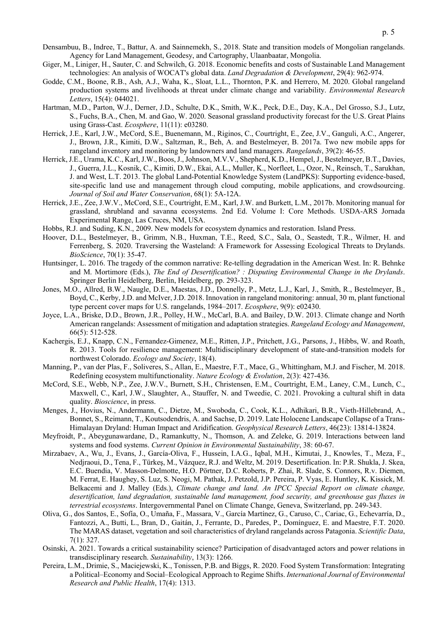- <span id="page-6-17"></span>Densambuu, B., Indree, T., Battur, A. and Sainnemekh, S., 2018. State and transition models of Mongolian rangelands. Agency for Land Management, Geodesy, and Cartography, Ulaanbaatar, Mongolia.
- <span id="page-6-18"></span>Giger, M., Liniger, H., Sauter, C. and Schwilch, G. 2018. Economic benefits and costs of Sustainable Land Management technologies: An analysis of WOCAT's global data. *Land Degradation & Development*, 29(4): 962-974.
- <span id="page-6-0"></span>Godde, C.M., Boone, R.B., Ash, A.J., Waha, K., Sloat, L.L., Thornton, P.K. and Herrero, M. 2020. Global rangeland production systems and livelihoods at threat under climate change and variability. *Environmental Research Letters*, 15(4): 044021.
- <span id="page-6-20"></span>Hartman, M.D., Parton, W.J., Derner, J.D., Schulte, D.K., Smith, W.K., Peck, D.E., Day, K.A., Del Grosso, S.J., Lutz, S., Fuchs, B.A., Chen, M. and Gao, W. 2020. Seasonal grassland productivity forecast for the U.S. Great Plains using Grass-Cast. *Ecosphere*, 11(11): e03280.
- <span id="page-6-11"></span>Herrick, J.E., Karl, J.W., McCord, S.E., Buenemann, M., Riginos, C., Courtright, E., Zee, J.V., Ganguli, A.C., Angerer, J., Brown, J.R., Kimiti, D.W., Saltzman, R., Beh, A. and Bestelmeyer, B. 2017a. Two new mobile apps for rangeland inventory and monitoring by landowners and land managers. *Rangelands*, 39(2): 46-55.
- <span id="page-6-14"></span>Herrick, J.E., Urama, K.C., Karl, J.W., Boos, J., Johnson, M.V.V., Shepherd, K.D., Hempel, J., Bestelmeyer, B.T., Davies, J., Guerra, J.L., Kosnik, C., Kimiti, D.W., Ekai, A.L., Muller, K., Norfleet, L., Ozor, N., Reinsch, T., Sarukhan, J. and West, L.T. 2013. The global Land-Potential Knowledge System (LandPKS): Supporting evidence-based, site-specific land use and management through cloud computing, mobile applications, and crowdsourcing. *Journal of Soil and Water Conservation*, 68(1): 5A-12A.
- <span id="page-6-8"></span>Herrick, J.E., Zee, J.W.V., McCord, S.E., Courtright, E.M., Karl, J.W. and Burkett, L.M., 2017b. Monitoring manual for grassland, shrubland and savanna ecosystems. 2nd Ed. Volume I: Core Methods. USDA-ARS Jornada Experimental Range, Las Cruces, NM, USA.
- <span id="page-6-15"></span>Hobbs, R.J. and Suding, K.N., 2009. New models for ecosystem dynamics and restoration. Island Press.
- <span id="page-6-2"></span>Hoover, D.L., Bestelmeyer, B., Grimm, N.B., Huxman, T.E., Reed, S.C., Sala, O., Seastedt, T.R., Wilmer, H. and Ferrenberg, S. 2020. Traversing the Wasteland: A Framework for Assessing Ecological Threats to Drylands. *BioScience*, 70(1): 35-47.
- <span id="page-6-5"></span>Huntsinger, L. 2016. The tragedy of the common narrative: Re-telling degradation in the American West. In: R. Behnke and M. Mortimore (Eds.), *The End of Desertification? : Disputing Environmental Change in the Drylands*. Springer Berlin Heidelberg, Berlin, Heidelberg, pp. 293-323.
- <span id="page-6-12"></span>Jones, M.O., Allred, B.W., Naugle, D.E., Maestas, J.D., Donnelly, P., Metz, L.J., Karl, J., Smith, R., Bestelmeyer, B., Boyd, C., Kerby, J.D. and McIver, J.D. 2018. Innovation in rangeland monitoring: annual, 30 m, plant functional type percent cover maps for U.S. rangelands, 1984–2017. *Ecosphere*, 9(9): e02430.
- <span id="page-6-19"></span>Joyce, L.A., Briske, D.D., Brown, J.R., Polley, H.W., McCarl, B.A. and Bailey, D.W. 2013. Climate change and North American rangelands: Assessment of mitigation and adaptation strategies. *Rangeland Ecology and Management*, 66(5): 512-528.
- <span id="page-6-16"></span>Kachergis, E.J., Knapp, C.N., Fernandez-Gimenez, M.E., Ritten, J.P., Pritchett, J.G., Parsons, J., Hibbs, W. and Roath, R. 2013. Tools for resilience management: Multidisciplinary development of state-and-transition models for northwest Colorado. *Ecology and Society*, 18(4).
- <span id="page-6-13"></span>Manning, P., van der Plas, F., Soliveres, S., Allan, E., Maestre, F.T., Mace, G., Whittingham, M.J. and Fischer, M. 2018. Redefining ecosystem multifunctionality. *Nature Ecology & Evolution*, 2(3): 427-436.
- <span id="page-6-9"></span>McCord, S.E., Webb, N.P., Zee, J.W.V., Burnett, S.H., Christensen, E.M., Courtright, E.M., Laney, C.M., Lunch, C., Maxwell, C., Karl, J.W., Slaughter, A., Stauffer, N. and Tweedie, C. 2021. Provoking a cultural shift in data quality. *Bioscience*, in press.
- <span id="page-6-3"></span>Menges, J., Hovius, N., Andermann, C., Dietze, M., Swoboda, C., Cook, K.L., Adhikari, B.R., Vieth-Hillebrand, A., Bonnet, S., Reimann, T., Koutsodendris, A. and Sachse, D. 2019. Late Holocene Landscape Collapse of a Trans-Himalayan Dryland: Human Impact and Aridification. *Geophysical Research Letters*, 46(23): 13814-13824.
- <span id="page-6-6"></span>Meyfroidt, P., Abeygunawardane, D., Ramankutty, N., Thomson, A. and Zeleke, G. 2019. Interactions between land systems and food systems. *Current Opinion in Environmental Sustainability*, 38: 60-67.
- <span id="page-6-1"></span>Mirzabaev, A., Wu, J., Evans, J., García-Oliva, F., Hussein, I.A.G., Iqbal, M.H., Kimutai, J., Knowles, T., Meza, F., Nedjraoui, D., Tena, F., Türkeş, M., Vázquez, R.J. and Weltz, M. 2019. Desertification. In: P.R. Shukla, J. Skea, E.C. Buendia, V. Masson-Delmotte, H.O. Pörtner, D.C. Roberts, P. Zhai, R. Slade, S. Connors, R.v. Diemen, M. Ferrat, E. Haughey, S. Luz, S. Neogi, M. Pathak, J. Petzold, J.P. Pereira, P. Vyas, E. Huntley, K. Kissick, M. Belkacemi and J. Malley (Eds.), *Climate change and land. An IPCC Special Report on climate change, desertification, land degradation, sustainable land management, food security, and greenhouse gas fluxes in terrestrial ecosystems*. Intergovernmental Panel on Climate Change, Geneva, Switzerland, pp. 249-343.
- <span id="page-6-10"></span>Oliva, G., dos Santos, E., Sofía, O., Umaña, F., Massara, V., García Martínez, G., Caruso, C., Cariac, G., Echevarría, D., Fantozzi, A., Butti, L., Bran, D., Gaitán, J., Ferrante, D., Paredes, P., Domínguez, E. and Maestre, F.T. 2020. The MARAS dataset, vegetation and soil characteristics of dryland rangelands across Patagonia. *Scientific Data*, 7(1): 327.
- <span id="page-6-7"></span>Osinski, A. 2021. Towards a critical sustainability science? Participation of disadvantaged actors and power relations in transdisciplinary research. *Sustainability*, 13(3): 1266.
- <span id="page-6-4"></span>Pereira, L.M., Drimie, S., Maciejewski, K., Tonissen, P.B. and Biggs, R. 2020. Food System Transformation: Integrating a Political–Economy and Social–Ecological Approach to Regime Shifts. *International Journal of Environmental Research and Public Health*, 17(4): 1313.